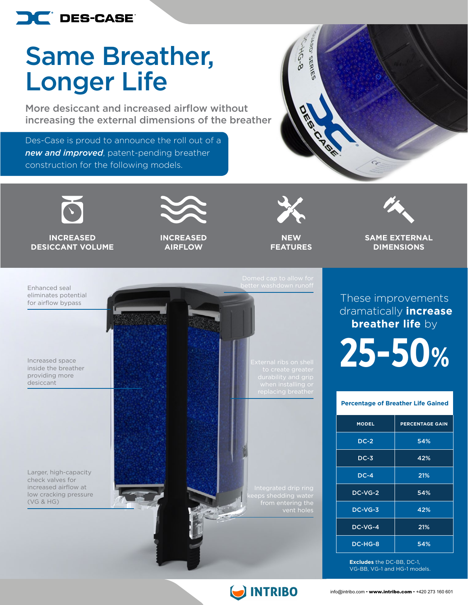

## Same Breather, Longer Life

More desiccant and increased airflow without increasing the external dimensions of the breather

Des-Case is proud to announce the roll out of a *new and improved*, patent-pending breather construction for the following models.